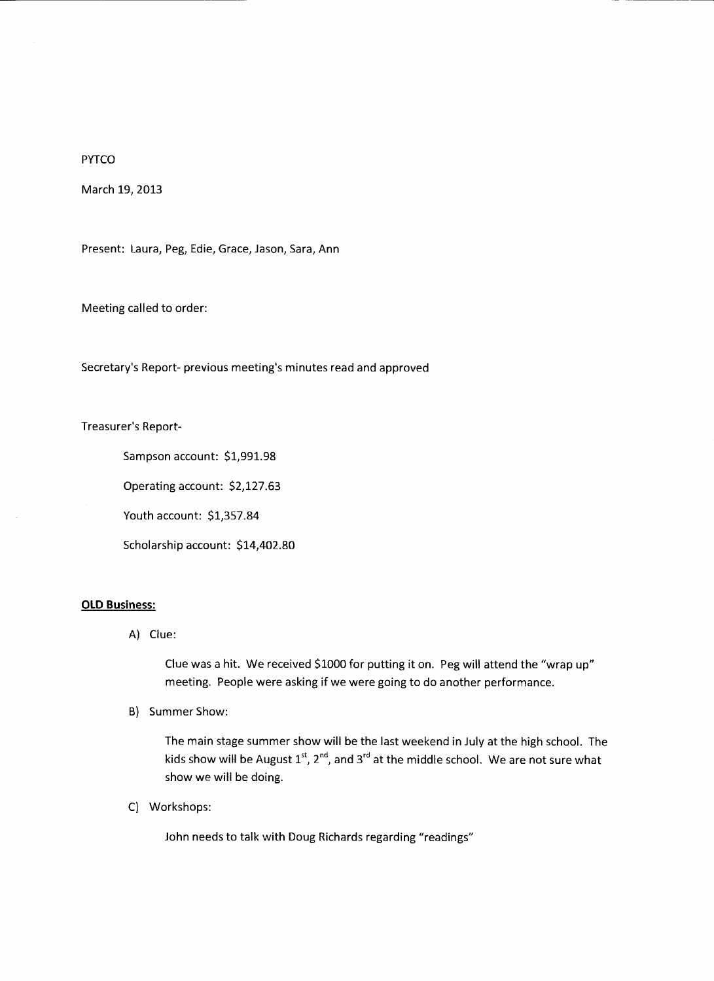## **PYTCO**

March 19, 2013

Present: Laura, Peg, Edie, Grace, Jason, Sara, Ann

Meeting called to order:

Secretary's Report- previous meeting's minutes read and approved

Treasurer's Report-

Sampson account: \$1,991.98

Operating account: \$2,127.63

Youth account: \$1,357.84

Scholarship account: \$14,402.80

## **OLD Business:**

A) Clue:

Clue was a hit. We received \$1000 for putting it on. Peg will attend the "wrap up" meeting. People were asking if we were going to do another performance.

B) Summer Show:

The main stage summer show will be the last weekend in July at the high school. The kids show will be August  $1^{st}$ ,  $2^{nd}$ , and  $3^{rd}$  at the middle school. We are not sure what show we will be doing.

C) Workshops:

John needs to talk with Doug Richards regarding "readings"